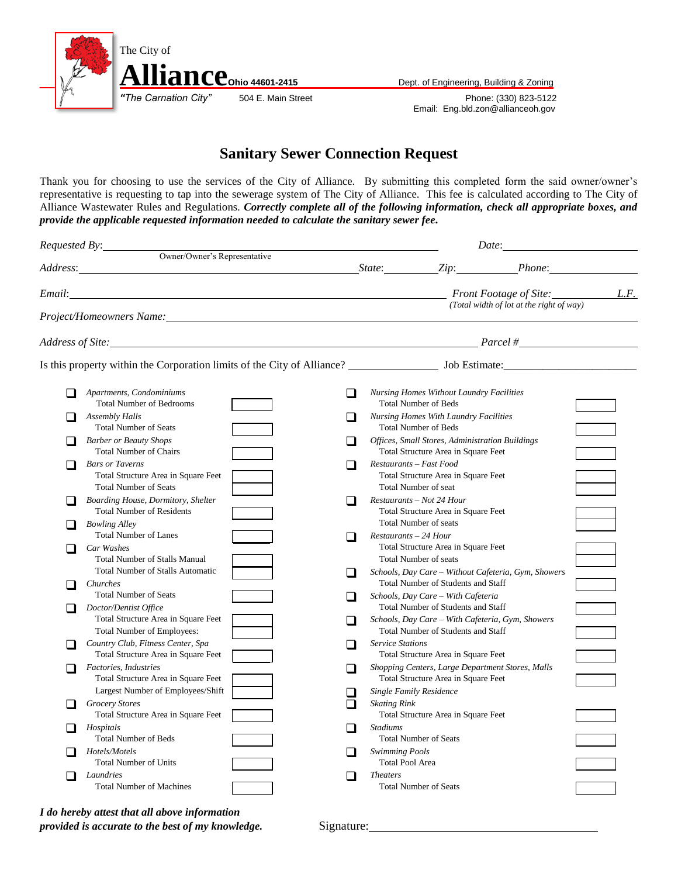

*Phone: (330) 823-5122* Email: Eng.bld.zon@allianceoh.gov

## **Sanitary Sewer Connection Request**

Thank you for choosing to use the services of the City of Alliance. By submitting this completed form the said owner/owner's representative is requesting to tap into the sewerage system of The City of Alliance. This fee is calculated according to The City of Alliance Wastewater Rules and Regulations. *Correctly complete all of the following information, check all appropriate boxes, and provide the applicable requested information needed to calculate the sanitary sewer fee.*

| Requested By:                                                                                                                                                                                                                 |                                                                                                                                                                                                                                                                |    | Date:<br><u> 1980 - Jan Barbara Barbara, prima prima prima prima prima prima prima prima prima prima prima prima prima pr</u> |                                                                                                            |                                                     |  |  |
|-------------------------------------------------------------------------------------------------------------------------------------------------------------------------------------------------------------------------------|----------------------------------------------------------------------------------------------------------------------------------------------------------------------------------------------------------------------------------------------------------------|----|-------------------------------------------------------------------------------------------------------------------------------|------------------------------------------------------------------------------------------------------------|-----------------------------------------------------|--|--|
|                                                                                                                                                                                                                               | Owner/Owner's Representative<br>Address: Phone: Phone: Phone: Phone: Phone: Phone: Phone: Phone: Phone: Phone: Phone: Phone: Phone: Phone: Phone: Phone: Phone: Phone: Phone: Phone: Phone: Phone: Phone: Phone: Phone: Phone: Phone: Phone: Phone: Phone: Pho |    |                                                                                                                               |                                                                                                            |                                                     |  |  |
|                                                                                                                                                                                                                               |                                                                                                                                                                                                                                                                |    |                                                                                                                               |                                                                                                            |                                                     |  |  |
| Email:                                                                                                                                                                                                                        |                                                                                                                                                                                                                                                                |    | <b>Front Footage of Site:</b><br>L.F.                                                                                         |                                                                                                            |                                                     |  |  |
|                                                                                                                                                                                                                               | Project/Homeowners Name: 1997 Manual Contract Contract Contract Contract Contract Contract Contract Contract Contract Contract Contract Contract Contract Contract Contract Contract Contract Contract Contract Contract Contr                                 |    |                                                                                                                               |                                                                                                            | (Total width of lot at the right of way)            |  |  |
| Address of Site: Parcel # 2008 Parcel # 2008 Parcel # 2008 Parcel # 2008 Parcel # 2008 Parcel # 2008 Parcel # 2008 Parcel # 2008 Parcel # 2008 Parcel # 2008 Parcel # 2008 Parcel # 2008 Parcel # 2008 Parcel # 2008 Parcel # |                                                                                                                                                                                                                                                                |    |                                                                                                                               |                                                                                                            |                                                     |  |  |
|                                                                                                                                                                                                                               |                                                                                                                                                                                                                                                                |    |                                                                                                                               |                                                                                                            |                                                     |  |  |
|                                                                                                                                                                                                                               | Apartments, Condominiums                                                                                                                                                                                                                                       | □  |                                                                                                                               | <b>Nursing Homes Without Laundry Facilities</b>                                                            |                                                     |  |  |
|                                                                                                                                                                                                                               | <b>Total Number of Bedrooms</b><br><b>Assembly Halls</b><br><b>Total Number of Seats</b>                                                                                                                                                                       | H  |                                                                                                                               | <b>Total Number of Beds</b><br><b>Nursing Homes With Laundry Facilities</b><br><b>Total Number of Beds</b> |                                                     |  |  |
|                                                                                                                                                                                                                               | <b>Barber or Beauty Shops</b><br><b>Total Number of Chairs</b>                                                                                                                                                                                                 |    |                                                                                                                               | <b>Offices, Small Stores, Administration Buildings</b><br>Total Structure Area in Square Feet              |                                                     |  |  |
|                                                                                                                                                                                                                               | <b>Bars or Taverns</b><br>Total Structure Area in Square Feet<br><b>Total Number of Seats</b>                                                                                                                                                                  |    |                                                                                                                               | Restaurants – Fast Food<br>Total Structure Area in Square Feet<br>Total Number of seat                     |                                                     |  |  |
|                                                                                                                                                                                                                               | Boarding House, Dormitory, Shelter<br><b>Total Number of Residents</b>                                                                                                                                                                                         |    |                                                                                                                               | Restaurants - Not 24 Hour<br>Total Structure Area in Square Feet                                           |                                                     |  |  |
|                                                                                                                                                                                                                               | <b>Bowling Alley</b><br><b>Total Number of Lanes</b>                                                                                                                                                                                                           |    | $Restaurants - 24$ Hour                                                                                                       | <b>Total Number of seats</b>                                                                               |                                                     |  |  |
|                                                                                                                                                                                                                               | Car Washes<br><b>Total Number of Stalls Manual</b><br><b>Total Number of Stalls Automatic</b>                                                                                                                                                                  |    |                                                                                                                               | Total Structure Area in Square Feet<br><b>Total Number of seats</b>                                        | Schools, Day Care - Without Cafeteria, Gym, Showers |  |  |
|                                                                                                                                                                                                                               | Churches<br><b>Total Number of Seats</b>                                                                                                                                                                                                                       | I. |                                                                                                                               | <b>Total Number of Students and Staff</b><br>Schools, Day Care - With Cafeteria                            |                                                     |  |  |
|                                                                                                                                                                                                                               | Doctor/Dentist Office<br>Total Structure Area in Square Feet                                                                                                                                                                                                   |    |                                                                                                                               | <b>Total Number of Students and Staff</b><br>Schools, Day Care – With Cafeteria, Gym, Showers              |                                                     |  |  |
|                                                                                                                                                                                                                               | Total Number of Employees:<br>Country Club, Fitness Center, Spa                                                                                                                                                                                                | H  | <b>Service Stations</b>                                                                                                       | <b>Total Number of Students and Staff</b>                                                                  |                                                     |  |  |
|                                                                                                                                                                                                                               | Total Structure Area in Square Feet<br>Factories, Industries                                                                                                                                                                                                   | ı  |                                                                                                                               | Total Structure Area in Square Feet<br>Shopping Centers, Large Department Stores, Malls                    |                                                     |  |  |
|                                                                                                                                                                                                                               | Total Structure Area in Square Feet<br>Largest Number of Employees/Shift                                                                                                                                                                                       | H. |                                                                                                                               | Total Structure Area in Square Feet<br><b>Single Family Residence</b>                                      |                                                     |  |  |
|                                                                                                                                                                                                                               | <b>Grocery Stores</b><br>Total Structure Area in Square Feet                                                                                                                                                                                                   |    | <b>Skating Rink</b>                                                                                                           | Total Structure Area in Square Feet                                                                        |                                                     |  |  |
|                                                                                                                                                                                                                               | Hospitals<br><b>Total Number of Beds</b>                                                                                                                                                                                                                       |    | <b>Stadiums</b>                                                                                                               | <b>Total Number of Seats</b>                                                                               |                                                     |  |  |
|                                                                                                                                                                                                                               | Hotels/Motels<br><b>Total Number of Units</b>                                                                                                                                                                                                                  |    | Swimming Pools<br><b>Total Pool Area</b>                                                                                      |                                                                                                            |                                                     |  |  |
|                                                                                                                                                                                                                               | Laundries<br><b>Total Number of Machines</b>                                                                                                                                                                                                                   |    | <i>Theaters</i>                                                                                                               | <b>Total Number of Seats</b>                                                                               |                                                     |  |  |

*I do hereby attest that all above information provided is accurate to the best of my knowledge.* Signature: